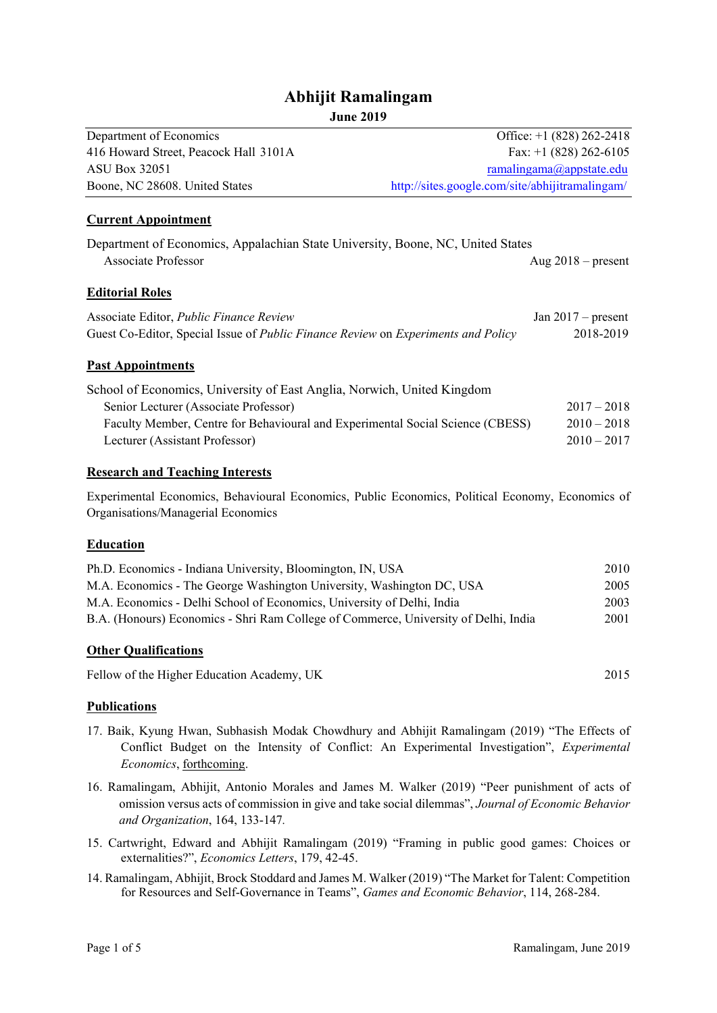# **Abhijit Ramalingam June 2019**

| Department of Economics                                                                                                                | Office: $+1$ (828) 262-2418                     |
|----------------------------------------------------------------------------------------------------------------------------------------|-------------------------------------------------|
| 416 Howard Street, Peacock Hall 3101A                                                                                                  | Fax: $+1$ (828) 262-6105                        |
| <b>ASU Box 32051</b>                                                                                                                   | ramalingama@appstate.edu                        |
| Boone, NC 28608. United States                                                                                                         | http://sites.google.com/site/abhijitramalingam/ |
| <b>Current Appointment</b>                                                                                                             |                                                 |
| Department of Economics, Appalachian State University, Boone, NC, United States<br>Associate Professor                                 | Aug $2018$ – present                            |
| <b>Editorial Roles</b>                                                                                                                 |                                                 |
| Associate Editor, Public Finance Review                                                                                                | Jan $2017$ – present                            |
| Guest Co-Editor, Special Issue of Public Finance Review on Experiments and Policy                                                      | 2018-2019                                       |
| <b>Past Appointments</b>                                                                                                               |                                                 |
| School of Economics, University of East Anglia, Norwich, United Kingdom                                                                |                                                 |
| Senior Lecturer (Associate Professor)                                                                                                  | $2017 - 2018$                                   |
| Faculty Member, Centre for Behavioural and Experimental Social Science (CBESS)                                                         | $2010 - 2018$                                   |
| Lecturer (Assistant Professor)                                                                                                         | $2010 - 2017$                                   |
| <b>Research and Teaching Interests</b>                                                                                                 |                                                 |
| Experimental Economics, Behavioural Economics, Public Economics, Political Economy, Economics of<br>Organisations/Managerial Economics |                                                 |
| <b>Education</b>                                                                                                                       |                                                 |
| Ph.D. Economics - Indiana University, Bloomington, IN, USA                                                                             | 2010                                            |
| M.A. Economics - The George Washington University, Washington DC, USA                                                                  | 2005                                            |
| M.A. Economics - Delhi School of Economics, University of Delhi, India                                                                 | 2003                                            |
| B.A. (Honours) Economics - Shri Ram College of Commerce, University of Delhi, India                                                    | 2001                                            |
| <b>Other Qualifications</b>                                                                                                            |                                                 |
| Fellow of the Higher Education Academy, UK                                                                                             | 2015                                            |
|                                                                                                                                        |                                                 |

#### **Publications**

- 17. Baik, Kyung Hwan, Subhasish Modak Chowdhury and Abhijit Ramalingam (2019) "The Effects of Conflict Budget on the Intensity of Conflict: An Experimental Investigation", *Experimental Economics*, forthcoming.
- 16. Ramalingam, Abhijit, Antonio Morales and James M. Walker (2019) "Peer punishment of acts of omission versus acts of commission in give and take social dilemmas", *Journal of Economic Behavior and Organization*, 164, 133-147*.*
- 15. Cartwright, Edward and Abhijit Ramalingam (2019) "Framing in public good games: Choices or externalities?", *Economics Letters*, 179, 42-45.
- 14. Ramalingam, Abhijit, Brock Stoddard and James M. Walker (2019) "The Market for Talent: Competition for Resources and Self-Governance in Teams", *Games and Economic Behavior*, 114, 268-284.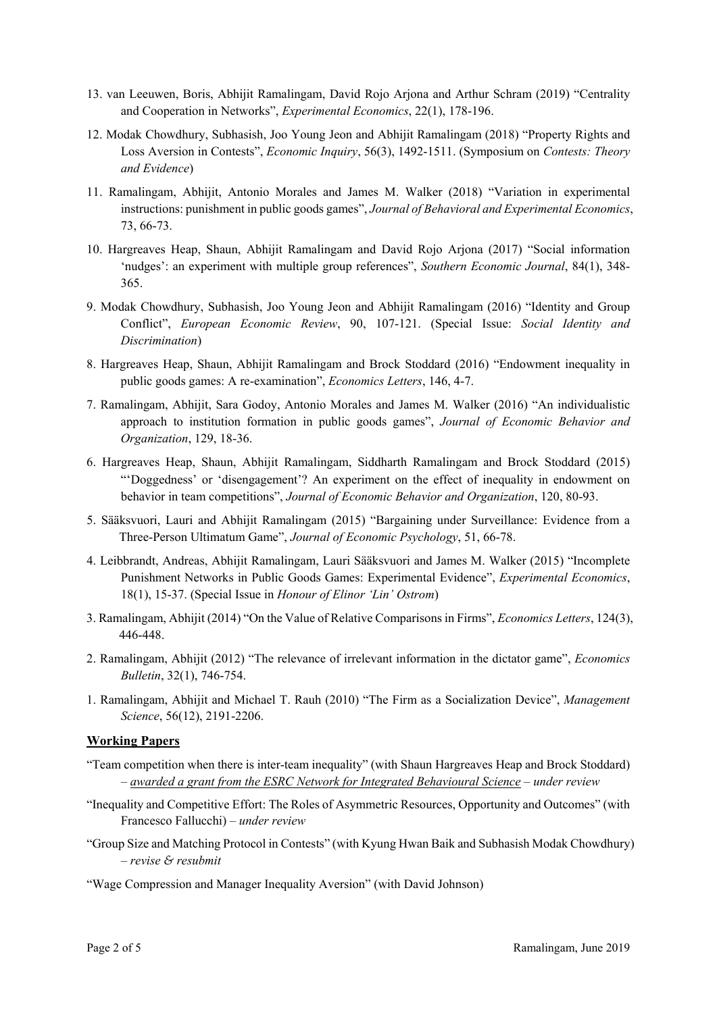- 13. van Leeuwen, Boris, Abhijit Ramalingam, David Rojo Arjona and Arthur Schram (2019) "Centrality and Cooperation in Networks", *Experimental Economics*, 22(1), 178-196.
- 12. Modak Chowdhury, Subhasish, Joo Young Jeon and Abhijit Ramalingam (2018) "Property Rights and Loss Aversion in Contests", *Economic Inquiry*, 56(3), 1492-1511. (Symposium on *Contests: Theory and Evidence*)
- 11. Ramalingam, Abhijit, Antonio Morales and James M. Walker (2018) "Variation in experimental instructions: punishment in public goods games", *Journal of Behavioral and Experimental Economics*, 73, 66-73.
- 10. Hargreaves Heap, Shaun, Abhijit Ramalingam and David Rojo Arjona (2017) "Social information 'nudges': an experiment with multiple group references", *Southern Economic Journal*, 84(1), 348- 365.
- 9. Modak Chowdhury, Subhasish, Joo Young Jeon and Abhijit Ramalingam (2016) "Identity and Group Conflict", *European Economic Review*, 90, 107-121. (Special Issue: *Social Identity and Discrimination*)
- 8. Hargreaves Heap, Shaun, Abhijit Ramalingam and Brock Stoddard (2016) "Endowment inequality in public goods games: A re-examination", *Economics Letters*, 146, 4-7.
- 7. Ramalingam, Abhijit, Sara Godoy, Antonio Morales and James M. Walker (2016) "An individualistic approach to institution formation in public goods games", *Journal of Economic Behavior and Organization*, 129, 18-36.
- 6. Hargreaves Heap, Shaun, Abhijit Ramalingam, Siddharth Ramalingam and Brock Stoddard (2015) "'Doggedness' or 'disengagement'? An experiment on the effect of inequality in endowment on behavior in team competitions", *Journal of Economic Behavior and Organization*, 120, 80-93.
- 5. Sääksvuori, Lauri and Abhijit Ramalingam (2015) "Bargaining under Surveillance: Evidence from a Three-Person Ultimatum Game", *Journal of Economic Psychology*, 51, 66-78.
- 4. Leibbrandt, Andreas, Abhijit Ramalingam, Lauri Sääksvuori and James M. Walker (2015) "Incomplete Punishment Networks in Public Goods Games: Experimental Evidence", *Experimental Economics*, 18(1), 15-37. (Special Issue in *Honour of Elinor 'Lin' Ostrom*)
- 3. Ramalingam, Abhijit (2014) "On the Value of Relative Comparisons in Firms", *Economics Letters*, 124(3), 446-448.
- 2. Ramalingam, Abhijit (2012) "The relevance of irrelevant information in the dictator game", *Economics Bulletin*, 32(1), 746-754.
- 1. Ramalingam, Abhijit and Michael T. Rauh (2010) "The Firm as a Socialization Device", *Management Science*, 56(12), 2191-2206.

#### **Working Papers**

- "Team competition when there is inter-team inequality" (with Shaun Hargreaves Heap and Brock Stoddard) – *awarded a grant from the ESRC Network for Integrated Behavioural Science* – *under review*
- "Inequality and Competitive Effort: The Roles of Asymmetric Resources, Opportunity and Outcomes" (with Francesco Fallucchi) – *under review*
- "Group Size and Matching Protocol in Contests" (with Kyung Hwan Baik and Subhasish Modak Chowdhury) – *revise & resubmit*
- "Wage Compression and Manager Inequality Aversion" (with David Johnson)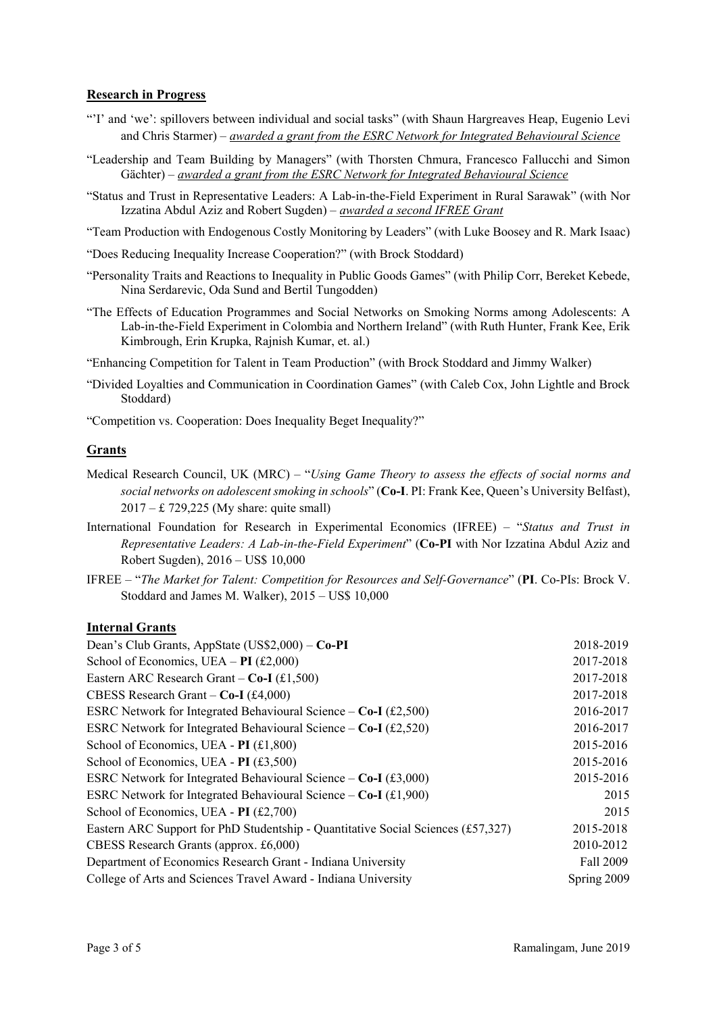#### **Research in Progress**

- "'I' and 'we': spillovers between individual and social tasks" (with Shaun Hargreaves Heap, Eugenio Levi and Chris Starmer) – *awarded a grant from the ESRC Network for Integrated Behavioural Science*
- "Leadership and Team Building by Managers" (with Thorsten Chmura, Francesco Fallucchi and Simon Gächter) – *awarded a grant from the ESRC Network for Integrated Behavioural Science*
- "Status and Trust in Representative Leaders: A Lab-in-the-Field Experiment in Rural Sarawak" (with Nor Izzatina Abdul Aziz and Robert Sugden) – *awarded a second IFREE Grant*
- "Team Production with Endogenous Costly Monitoring by Leaders" (with Luke Boosey and R. Mark Isaac)
- "Does Reducing Inequality Increase Cooperation?" (with Brock Stoddard)
- "Personality Traits and Reactions to Inequality in Public Goods Games" (with Philip Corr, Bereket Kebede, Nina Serdarevic, Oda Sund and Bertil Tungodden)
- "The Effects of Education Programmes and Social Networks on Smoking Norms among Adolescents: A Lab-in-the-Field Experiment in Colombia and Northern Ireland" (with Ruth Hunter, Frank Kee, Erik Kimbrough, Erin Krupka, Rajnish Kumar, et. al.)
- "Enhancing Competition for Talent in Team Production" (with Brock Stoddard and Jimmy Walker)
- "Divided Loyalties and Communication in Coordination Games" (with Caleb Cox, John Lightle and Brock Stoddard)
- "Competition vs. Cooperation: Does Inequality Beget Inequality?"

## **Grants**

- Medical Research Council, UK (MRC) "*Using Game Theory to assess the effects of social norms and social networks on adolescent smoking in schools*" (**Co-I**. PI: Frank Kee, Queen's University Belfast), 2017 – £ 729,225 (My share: quite small)
- International Foundation for Research in Experimental Economics (IFREE) "*Status and Trust in Representative Leaders: A Lab-in-the-Field Experiment*" (**Co-PI** with Nor Izzatina Abdul Aziz and Robert Sugden), 2016 – US\$ 10,000
- IFREE "*The Market for Talent: Competition for Resources and Self-Governance*" (**PI**. Co-PIs: Brock V. Stoddard and James M. Walker), 2015 – US\$ 10,000

#### **Internal Grants**

| School of Economics, UEA – PI $(\text{\pounds}2,000)$<br>2017-2018                            |      |
|-----------------------------------------------------------------------------------------------|------|
|                                                                                               |      |
| 2017-2018<br>Eastern ARC Research Grant – $Co-I$ (£1,500)                                     |      |
| 2017-2018<br>CBESS Research Grant – $Co-I$ (£4,000)                                           |      |
| ESRC Network for Integrated Behavioural Science – $Co-I$ (£2,500)<br>2016-2017                |      |
| 2016-2017<br>ESRC Network for Integrated Behavioural Science – $Co-I$ (£2,520)                |      |
| 2015-2016<br>School of Economics, UEA - $PI$ (£1,800)                                         |      |
| 2015-2016<br>School of Economics, UEA - $PI$ (£3,500)                                         |      |
| 2015-2016<br>ESRC Network for Integrated Behavioural Science – $Co-I$ (£3,000)                |      |
| ESRC Network for Integrated Behavioural Science – $Co-I$ (£1,900)                             | 2015 |
| School of Economics, UEA - $PI$ (£2,700)                                                      | 2015 |
| 2015-2018<br>Eastern ARC Support for PhD Studentship - Quantitative Social Sciences (£57,327) |      |
| 2010-2012<br>CBESS Research Grants (approx. £6,000)                                           |      |
| Fall 2009<br>Department of Economics Research Grant - Indiana University                      |      |
| Spring 2009<br>College of Arts and Sciences Travel Award - Indiana University                 |      |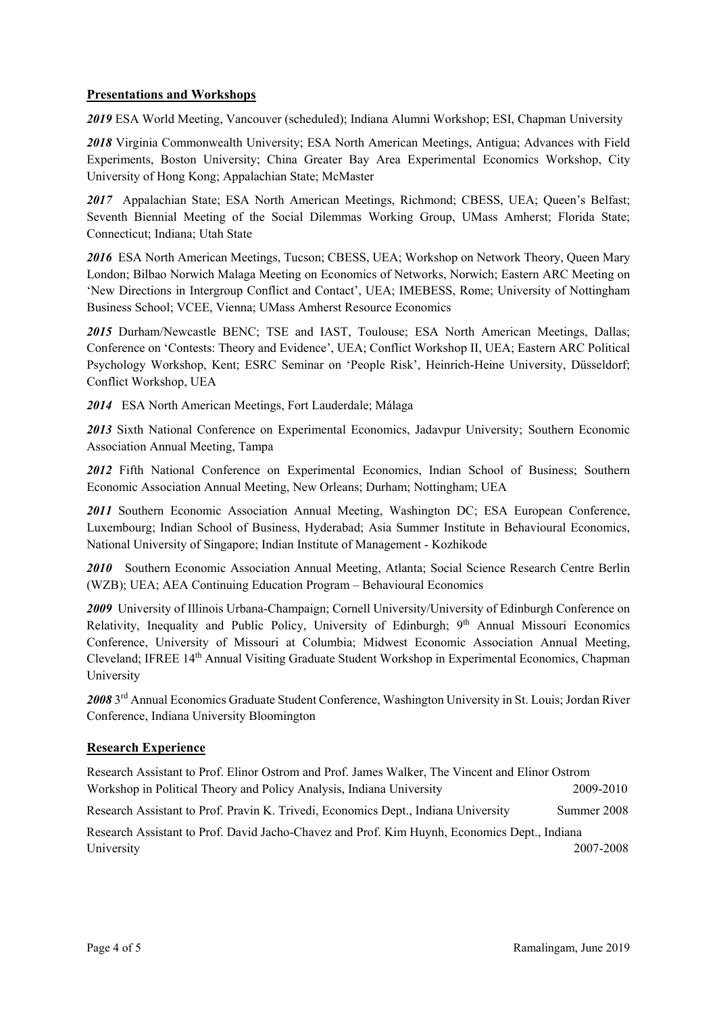### **Presentations and Workshops**

*2019* ESA World Meeting, Vancouver (scheduled); Indiana Alumni Workshop; ESI, Chapman University

*2018* Virginia Commonwealth University; ESA North American Meetings, Antigua; Advances with Field Experiments, Boston University; China Greater Bay Area Experimental Economics Workshop, City University of Hong Kong; Appalachian State; McMaster

*2017* Appalachian State; ESA North American Meetings, Richmond; CBESS, UEA; Queen's Belfast; Seventh Biennial Meeting of the Social Dilemmas Working Group, UMass Amherst; Florida State; Connecticut; Indiana; Utah State

*2016* ESA North American Meetings, Tucson; CBESS, UEA; Workshop on Network Theory, Queen Mary London; Bilbao Norwich Malaga Meeting on Economics of Networks, Norwich; Eastern ARC Meeting on 'New Directions in Intergroup Conflict and Contact', UEA; IMEBESS, Rome; University of Nottingham Business School; VCEE, Vienna; UMass Amherst Resource Economics

*2015* Durham/Newcastle BENC; TSE and IAST, Toulouse; ESA North American Meetings, Dallas; Conference on 'Contests: Theory and Evidence', UEA; Conflict Workshop II, UEA; Eastern ARC Political Psychology Workshop, Kent; ESRC Seminar on 'People Risk', Heinrich-Heine University, Düsseldorf; Conflict Workshop, UEA

*2014* ESA North American Meetings, Fort Lauderdale; Málaga

*2013* Sixth National Conference on Experimental Economics, Jadavpur University; Southern Economic Association Annual Meeting, Tampa

*2012* Fifth National Conference on Experimental Economics, Indian School of Business; Southern Economic Association Annual Meeting, New Orleans; Durham; Nottingham; UEA

2011 Southern Economic Association Annual Meeting, Washington DC; ESA European Conference, Luxembourg; Indian School of Business, Hyderabad; Asia Summer Institute in Behavioural Economics, National University of Singapore; Indian Institute of Management - Kozhikode

*2010* Southern Economic Association Annual Meeting, Atlanta; Social Science Research Centre Berlin (WZB); UEA; AEA Continuing Education Program – Behavioural Economics

*2009* University of Illinois Urbana-Champaign; Cornell University/University of Edinburgh Conference on Relativity, Inequality and Public Policy, University of Edinburgh; 9<sup>th</sup> Annual Missouri Economics Conference, University of Missouri at Columbia; Midwest Economic Association Annual Meeting, Cleveland; IFREE 14th Annual Visiting Graduate Student Workshop in Experimental Economics, Chapman University

*2008* 3rd Annual Economics Graduate Student Conference, Washington University in St. Louis; Jordan River Conference, Indiana University Bloomington

#### **Research Experience**

Research Assistant to Prof. Elinor Ostrom and Prof. James Walker, The Vincent and Elinor Ostrom Workshop in Political Theory and Policy Analysis, Indiana University 2009-2010 Research Assistant to Prof. Pravin K. Trivedi, Economics Dept., Indiana University Summer 2008

Research Assistant to Prof. David Jacho-Chavez and Prof. Kim Huynh, Economics Dept., Indiana University 2007-2008